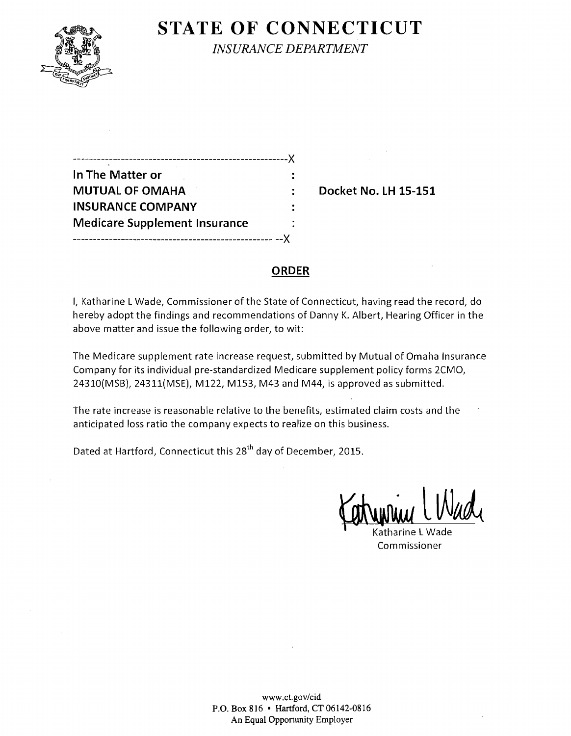

# **STATE OF CONNECTICUT**

*INSURANCE DEPARTMENT* 

| .-------------------------------X    |  |
|--------------------------------------|--|
| In The Matter or                     |  |
| <b>MUTUAL OF OMAHA</b>               |  |
| <b>INSURANCE COMPANY</b>             |  |
| <b>Medicare Supplement Insurance</b> |  |
|                                      |  |

**Docket No. LH 15-151** 

#### **ORDER**

I, Katharine LWade, Commissioner of the State of Connecticut, having read the record, do hereby adopt the findings and recommendations of Danny K. Albert, Hearing Officer in the above matter and issue the following order, to wit:

The Medicare supplement rate increase request, submitted by Mutual of Omaha Insurance Company for its individual pre-standardized Medicare supplement policy forms 2CMO, 24310(MSB), 24311(MSE), M122, M153, M43 and M44, is approved as submitted.

The rate increase is reasonable relative to the benefits, estimated claim costs and the anticipated loss ratio the company expects to realize on this business.

Dated at Hartford, Connecticut this 28<sup>th</sup> day of December, 2015.

Katharine L Wade Commissioner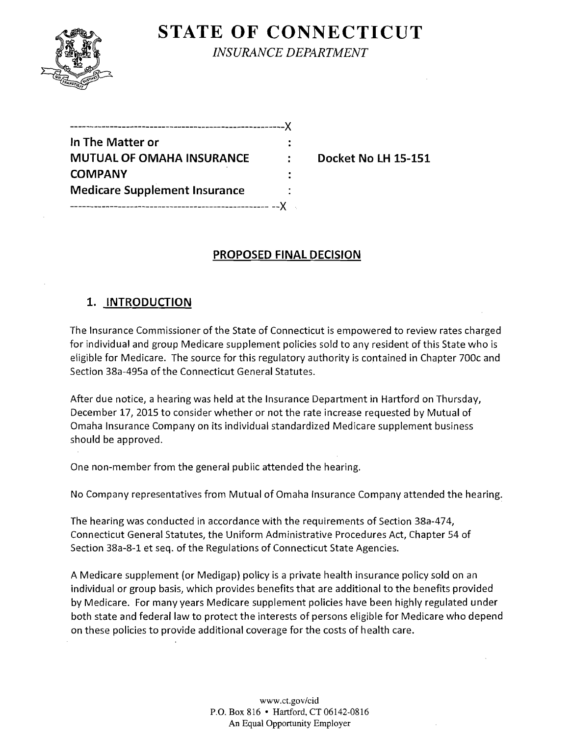

# **STATE OF CONNECTICUT**

*INSURANCE DEPARTMENT* 

| _______________                      |  |
|--------------------------------------|--|
| In The Matter or                     |  |
| <b>MUTUAL OF OMAHA INSURANCE</b>     |  |
| <b>COMPANY</b>                       |  |
| <b>Medicare Supplement Insurance</b> |  |
|                                      |  |

**Docket No LH 15-151** 

## **PROPOSED FINAL DECISION**

## **1. INTRODUCTION**

The Insurance Commissioner of the State of Connecticut is empowered to review rates charged for individual and group Medicare supplement policies sold to any resident of this State who is eligible for Medicare. The source for this regulatory authority is contained in Chapter 700c and Section 38a-495a of the Connecticut General Statutes.

After due notice, a hearing was held at the Insurance Department in Hartford on Thursday, December 17, 2015 to consider whether or not the rate increase requested by Mutual of Omaha Insurance Company on its individual standardized Medicare supplement business should be approved.

One non-member from the general public attended the hearing.

No Company representatives from Mutual of Omaha Insurance Company attended the hearing.

The hearing was conducted in accordance with the requirements of Section 38a-474, Connecticut General Statutes, the Uniform Administrative Procedures Act, Chapter 54 of Section 38a-8-1 et seq. of the Regulations of Connecticut State Agencies.

A Medicare supplement (or Medigap) policy is a private health insurance policy sold on an individual or group basis, which provides benefits that are additional to the benefits provided by Medicare. For many years Medicare supplement policies have been highly regulated under both state and federal law to protect the interests of persons eligible for Medicare who depend on these policies to provide additional coverage for the costs of health care.

> www.ct.gov/cid P.O. Box 816 • Hartford, CT 06142-0816 An Equal Opportunity Employer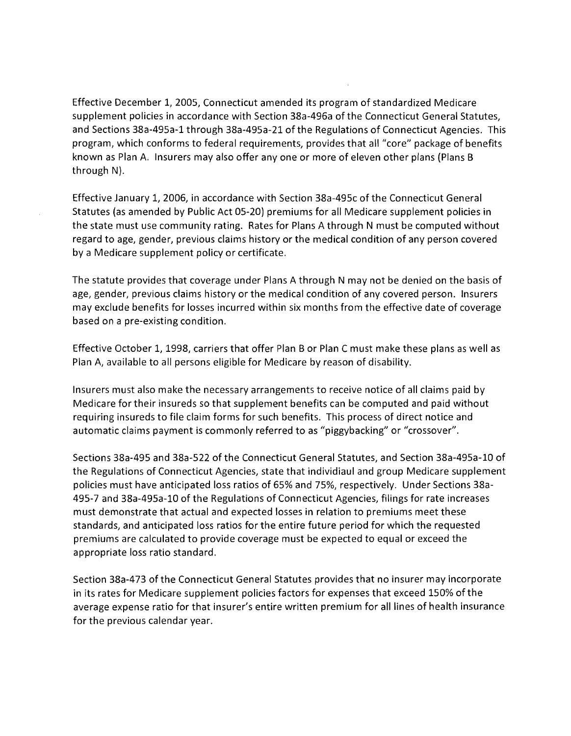Effective December 1, 2005, Connecticut amended its program of standardized Medicare supplement policies in accordance with Section 38a-496a of the Connecticut General Statutes, and Sections 38a-495a-1 through 38a-495a-21 of the Regulations of Connecticut Agencies. This program, which conforms to federal requirements, provides that all "core" package of benefits known as Plan A. Insurers may also offer anyone or more of eleven other plans (Plans B through N).

Effective January 1, 2006, in accordance with Section 38a-495c of the Connecticut General Statutes (as amended by Public Act 05-20) premiums for all Medicare supplement policies in the state must use community rating. Rates for Plans A through N must be computed without regard to age, gender, previous claims history or the medical condition of any person covered by a Medicare supplement policy or certificate.

The statute provides that coverage under Plans A through N may not be denied on the basis of age, gender, previous claims history or the medical condition of any covered person. Insurers may exclude benefits for losses incurred within six months from the effective date of coverage based on a pre-existing condition.

Effective October 1, 1998, carriers that offer Plan B or Plan C must make these plans as well as Plan A, available to all persons eligible for Medicare by reason of disability.

Insurers must also make the necessary arrangements to receive notice of all claims paid by Medicare for their insureds so that supplement benefits can be computed and paid without requiring insureds to file claim forms for such benefits. This process of direct notice and automatic claims payment is commonly referred to as "piggybacking" or "crossover".

Sections 38a-495 and 38a-522 of the Connecticut General Statutes, and Section 38a-495a-10 of the Regulations of Connecticut Agencies, state that individiaul and group Medicare supplement policies must have anticipated loss ratios of 65% and 75%, respectively. Under Sections 38a-495-7 and 38a-495a-10 of the Regulations of Connecticut Agencies, filings for rate increases must demonstrate that actual and expected losses in relation to premiums meet these standards, and anticipated loss ratios for the entire future period for which the requested premiums are calculated to provide coverage must be expected to equal or exceed the appropriate loss ratio standard.

Section 38a-473 of the Connecticut General Statutes provides that no insurer may incorporate in its rates for Medicare supplement policies factors for expenses that exceed 150% of the average expense ratio for that insurer's entire written premium for all lines of health insurance for the previous calendar year.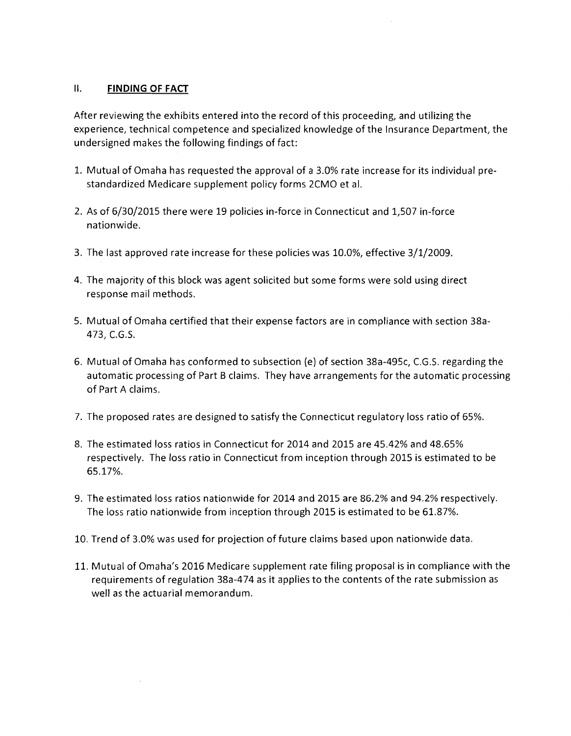#### II. **FINDING OF FACT**

After reviewing the exhibits entered into the record of this proceeding, and utilizing the experience, technical competence and specialized knowledge of the Insurance Department, the undersigned makes the following findings of fact:

- 1. Mutual of Omaha has requested the approval of a 3.0% rate increase for its individual prestandardized Medicare supplement policy forms 2CMO et al.
- 2. As of 6/30/2015 there were 19 policies in-force in Connecticut and 1,507 in-force nationwide.
- 3. The last approved rate increase for these policies was 10.0%, effective 3/1/2009.
- 4. The majority of this block was agent solicited but some forms were sold using direct response mail methods.
- 5. Mutual of Omaha certified that their expense factors are in compliance with section 38a-473, e.G.S.
- 6. Mutual of Omaha has conformed to subsection (e) of section 38a-495c, C.G.S. regarding the automatic processing of Part B claims. They have arrangements for the automatic processing of Part A claims.
- 7. The proposed rates are designed to satisfy the Connecticut regulatory loss ratio of 65%.
- 8. The estimated loss ratios in Connecticut for 2014 and 2015 are 45.42% and 48.65% respectively. The loss ratio in Connecticut from inception through 2015 is estimated to be 65.17%.
- 9. The estimated loss ratios nationwide for 2014 and 2015 are 86.2% and 94.2% respectively. The loss ratio nationwide from inception through 2015 is estimated to be 61.87%.
- 10. Trend of 3.0% was used for projection of future claims based upon nationwide data.
- 11. Mutual of Omaha's 2016 Medicare supplement rate filing proposal is in compliance with the requirements of regulation 38a-474 as it applies to the contents of the rate submission as well as the actuarial memorandum.